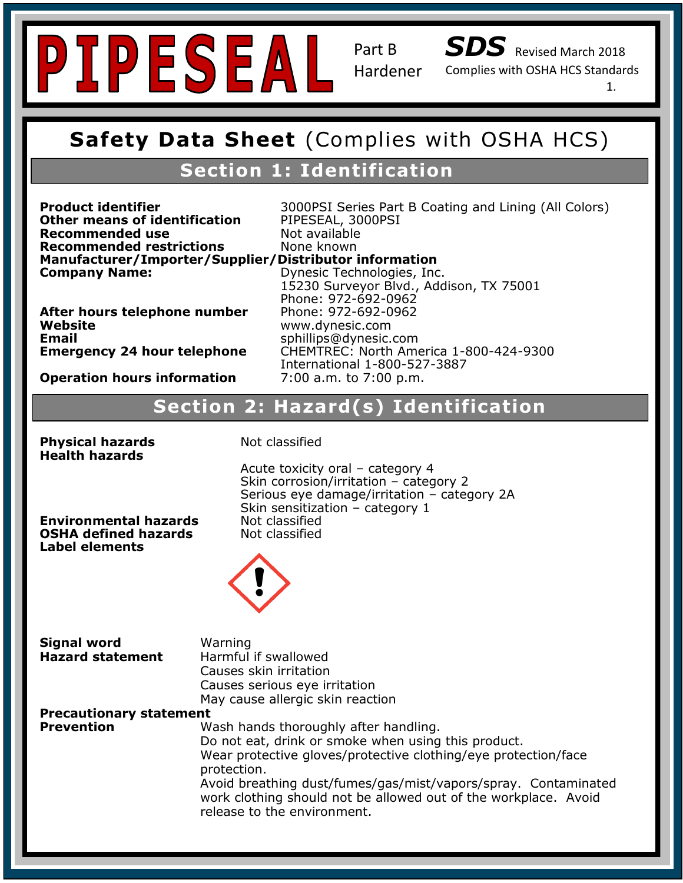



Complies with OSHA HCS Standards

1.

### **Safety Data Sheet (Complies with OSHA HCS Safety Data Sheet** (Complies with OSHA HCS)

### **Section 1: Identification**

**Recommended use** Not available **Recommended TestHctions<br>Manufacturer/Importer/Supplier/Distributor information Company Name: Other means of identification** PIPESEAL, 3000PSI<br> **Recommended use** Not available **Recommended restrictions** None known

**Product identifier Signal 2000PSI** Series Part B Coating and Lining (All Colors)

**After hours telephone number** Phone: 972-692-0962<br>Website **Website<br>Email Email** sphillips@dynesic.com<br>**Emergency 24 hour telephone** CHEMTREC: North Ame

**Recommended Use:** Chemical and temperature resistant, UV stabilized, ultra clear coating for indoor and Phone: 972-692-0962 **Hazard Classification: Skin Irritant- Category 2** 7:00 a.m. to 7:00 p.m. **Company Name:** Dynesic Technologies, Inc. 15230 Surveyor Blvd., Addison, TX 75001 **Website** www.dynesic.com **Emergency 24 hour telephone** CHEMTREC: North America 1-800-424-9300 International 1-800-527-3887

# **Operation hours information** 7:00 a.m. to 7:00 p.m.

### **Hazard(s) Identification**<br> **Section 2: Hazard(s) Identification**

| <b>Physical hazards</b><br><b>Health hazards</b>                                     | Not classified                                                                                                                  |
|--------------------------------------------------------------------------------------|---------------------------------------------------------------------------------------------------------------------------------|
| <b>Environmental hazards</b><br><b>OSHA defined hazards</b><br><b>Label elements</b> | Acute toxicity oral -<br>Skin corrosion/irrita<br>Serious eye damag<br>Skin sensitization -<br>Not classified<br>Not classified |
|                                                                                      |                                                                                                                                 |

**Precise Serious eye damage/irritation – category 2A Environmental hazards** Mot classified Acute toxicity oral – category 4 Skin corrosion/irritation – category 2 Skin sensitization – category 1



| <b>Signal word</b>             | Warning                                                         |
|--------------------------------|-----------------------------------------------------------------|
| <b>Hazard statement</b>        | Harmful if swallowed                                            |
|                                | Causes skin irritation                                          |
|                                | Causes serious eye irritation                                   |
|                                | May cause allergic skin reaction                                |
| <b>Precautionary statement</b> |                                                                 |
| <b>Prevention</b>              | Wash hands thoroughly after handling.                           |
|                                | Do not eat, drink or smoke when using this product.             |
|                                | Wear protective gloves/protective clothing/eye protection/face  |
|                                | protection.                                                     |
|                                | Avoid breathing dust/fumes/gas/mist/vapors/spray. Contaminated  |
|                                | work clothing should not be allowed out of the workplace. Avoid |
|                                | release to the environment.                                     |
|                                |                                                                 |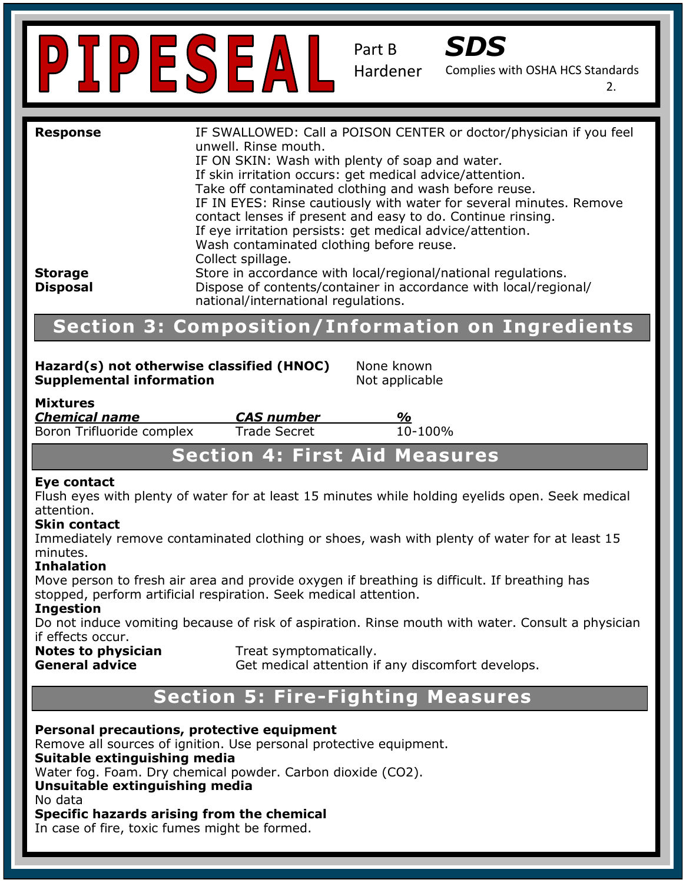

Part B



Complies with OSHA HCS Standards Hardener

2.

| <b>Response</b><br><b>Storage</b><br><b>Disposal</b>                                                         | IF SWALLOWED: Call a POISON CENTER or doctor/physician if you feel<br>unwell. Rinse mouth.<br>IF ON SKIN: Wash with plenty of soap and water.<br>If skin irritation occurs: get medical advice/attention.<br>Take off contaminated clothing and wash before reuse.<br>IF IN EYES: Rinse cautiously with water for several minutes. Remove<br>contact lenses if present and easy to do. Continue rinsing.<br>If eye irritation persists: get medical advice/attention.<br>Wash contaminated clothing before reuse.<br>Collect spillage.<br>Store in accordance with local/regional/national regulations.<br>Dispose of contents/container in accordance with local/regional/<br>national/international regulations. |                                                          |
|--------------------------------------------------------------------------------------------------------------|--------------------------------------------------------------------------------------------------------------------------------------------------------------------------------------------------------------------------------------------------------------------------------------------------------------------------------------------------------------------------------------------------------------------------------------------------------------------------------------------------------------------------------------------------------------------------------------------------------------------------------------------------------------------------------------------------------------------|----------------------------------------------------------|
|                                                                                                              |                                                                                                                                                                                                                                                                                                                                                                                                                                                                                                                                                                                                                                                                                                                    | <b>Section 3: Composition/Information on Ingredients</b> |
| Hazard(s) not otherwise classified (HNOC)<br>None known<br><b>Supplemental information</b><br>Not applicable |                                                                                                                                                                                                                                                                                                                                                                                                                                                                                                                                                                                                                                                                                                                    |                                                          |
| <b>Mixtures</b><br><b>Chemical name</b><br>Boron Trifluoride complex                                         | <b>CAS number</b><br><b>Trade Secret</b>                                                                                                                                                                                                                                                                                                                                                                                                                                                                                                                                                                                                                                                                           | %<br>10-100%                                             |

### **Section 4: First Aid Measures**

#### **Eye contact**

Flush eyes with plenty of water for at least 15 minutes while holding eyelids open. Seek medical attention.

#### **Skin contact**

 $p_{\text{inated}}$  clothing or shoop Printed breathing of shoes, mean man pickly of the Immediately remove contaminated clothing or shoes, wash with plenty of water for at least 15 minutes.

#### **Inhalation**

Move person to fresh air area and provide oxygen if breathing is difficult. If breathing has stopped, perform artificial respiration. Seek medical attention.

#### **Ingestion**

**Ingestion**<br>Do not induce vomiting because of risk of aspiration. Rinse mouth with water. Consult a physician if effects occur.

#### **Notes to physician Notes to physician Treat symptomatically.**<br> **General advice Get medical attention if**

**General advice Get medical attention if any discomfort develops.** 

### Specific Hazard: N/A **Section 5: Fire-Fighting Measures**

**Personal precautions, protective equipment** Remove all sources of ignition. Use personal protective equipment. **Suitable extinguishing media comparison** Water fog. Foam. Dry chemical powder. Carbon dioxide (CO2).<br>... **Unsuitable extinguishing media**  No data **Specific hazards arising from the chemical**  In case of fire, toxic fumes might be formed.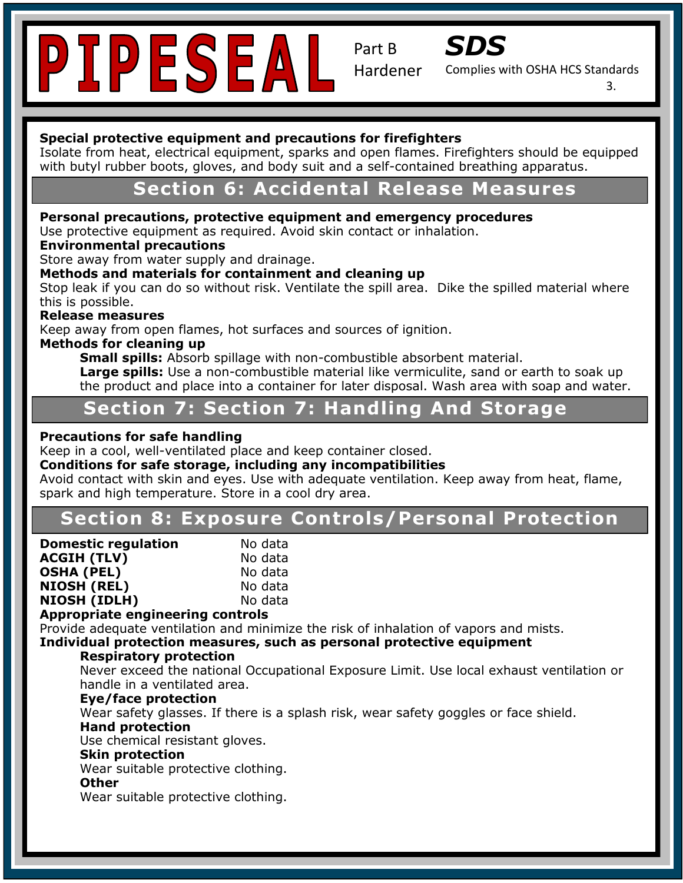

Part B



Complies with OSHA HCS Standards Hardener

3.

#### **Special protective equipment and precautions for firefighters**

Isolate from heat, electrical equipment, sparks and open flames. Firefighters should be equipped<br>with but deviated without heats, alongs, and hedu suit and a self-contained breathing apparatus. with butyl rubber boots, gloves, and body suit and a self-contained breathing apparatus.

### **Section 6: Accidental Release Measures**

#### **Personal precautions, protective equipment and emergency procedures**

Use protective equipment as required. Avoid skin contact or inhalation.

### Ose protective equipment as required. *F*<br>**Environmental precautions**

**Containmental precidents:**<br>Store away from water supply and drainage.

#### **Methods and materials for containment and cleaning up**

Stop leak if you can do so without risk. Ventilate the spill area. Dike the spilled material where **Recommended Use:**  $\mathbf{R} = \mathbf{R} \mathbf{R}$  **and the induced, under coating for induced, under the induced, under the indoor and induced, under the induced, under the induced, under the induced of induced**  $\mathbf{R}$  **and induced b** 

#### Release measures

Keep away from open flames, hot surfaces and sources of ignition.<br>Mathade fax classing up

#### **Methods for cleaning up**

**Small spills:** Absorb spillage with non-combustible absorbent material.

**Large spills:** Use a non-combustible material like vermiculite, sand or earth to soak up the product and place into a container for later disposal. Wash area with soap and water.

## **Kancer Section 7: Section 7: Handling And Storage**

#### **Precautions for safe handling**

Keep in a cool, well-ventilated place and keep container closed.

#### **Conditions for safe storage, including any incompatibilities**

spark and high temperature. Store in a cool dry area. Avoid contact with skin and eyes. Use with adequate ventilation. Keep away from heat, flame,

#### nosure Controls/ P103: Read label before use. **Section 8: Exposure Controls/Personal Protection**

| <b>Domestic regulation</b> | No data |  |
|----------------------------|---------|--|
| <b>ACGIH (TLV)</b>         | No data |  |
| OSHA (PEL)                 | No data |  |
| <b>NIOSH (REL)</b>         | No data |  |
| NIOSH (IDLH)               | No data |  |
|                            |         |  |

#### **Appropriate engineering controls**

Provide adequate ventilation and minimize the risk of inhalation of vapors and mists.

#### Individual protection measures, such as personal protective equipment

#### **Respiratory protection**

CLION<br>etional Occupational Never exceed the national Occupational Exposure Limit. Use local exhaust ventilation or<br>handle in a ventilated area  $\mathbf{S}$  is a set of  $\mathbf{S}$ handle in a ventilated area.

#### **Eye/face protection**

**Hand protection** Wear safety glasses. If there is a splash risk, wear safety goggles or face shield.

Use chemical resistant gloves.<br>The state of the state of the state of the state of the state of the state of the state of the state of the st

#### **Skin protection**

Instability: 0 Wear suitable protective clothing.<br>Other

#### **Other**

Wear suitable protective clothing.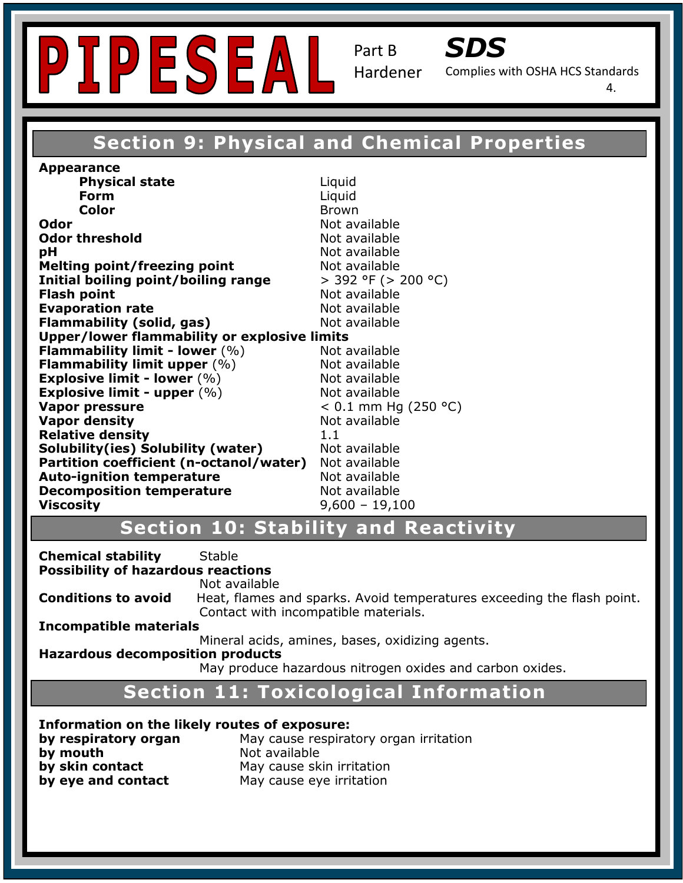



Complies with OSHA HCS Standards

4.

### **Section 9: Physical and Chemical Properties**

**Odor threshold Not available PH** Not available **Melting point/freezing point in a metally not available** and a series and a metallic metallic metallic metallic m<br>
The case of the contract of the case of the case of the case of the case of the case of the case of the ca **Initial boiling point/boiling range**  $>$  392 °F (> 200 °C) **Recommended USE: A Recommended USE: Indoor and temperature resistance resistance resistance resistance resistant**<br> **Evaporation rate** variable **Flammability (solid, gas)** Not available **Upper/lower flammability or explosive limits Flammability limit upper**  $(%)$  Not available **Explosive limit - lower** (%) The Mot available<br>**Explosive limit - upper** (%) Not available **Hazard Statement Community appel (1997)**<br>  $\times 0.1 \text{ mm Hg (250 °C)}$ **Philadelphical Except Contract Contract Contract Contract Contract Contract Contract Contract Contract Contract Contract Contract Contract Contract Contract Contract Contract Contract Contract Contract Contract Contract C Precomposition temperature**<br>**Viscosity** 9,600 – 19,100 **Appearance Physical state Liquid Form** Liquid **Color** Brown **Odor** Not available **Flash point** Not available **Flammability limit - lower** (%) Not available **Explosive limit - lower** (%) Not available **Vapor density Not available Not available Solubility(ies) Solubility (water)** Not available **Partition coefficient (n-octanol/water)** Not available **Auto-ignition temperature entity of the Mot available<br>
<b>Decomposition temperature** Not available **Decomposition temperature** 

#### P102: Keep out of reach of children . **Section 10: Stability and Reactivity**

P261: Avoid breathing dust/fume/gas/mist/vapors/spray. **Protective gloves/protective clothing**<br>Possibility of hazardous reactions  $\frac{1}{2}$ **Chemical stability** Stable

P3333343.<br>Not available

**Conditions to avoid** Heat, flames and sparks. Avoid temperatures exceeding the flash point. Contact with incompatible materials.

**Incompatible materials** 

Mineral acids, amines, bases, oxidizing agents.

### **Hazardous decomposition products**<br>**Hazardous decomposition products**

on products<br>May produce hazardous nitrogen oxides and carbon oxides. Installection and the context of the context of the context of the context of the context of the context of the

### **Section 11: Toxicological Information**

**Information on the likely routes of exposure:** 

**by eye and contact** May cause eye irritation **by eye and contact by mouth Not available** 

**by respiratory organ** May cause respiratory organ irritation<br>https://alabelia.html **by model is a stranger of the set of the set of the set of the set of the set of the set of the set of the set**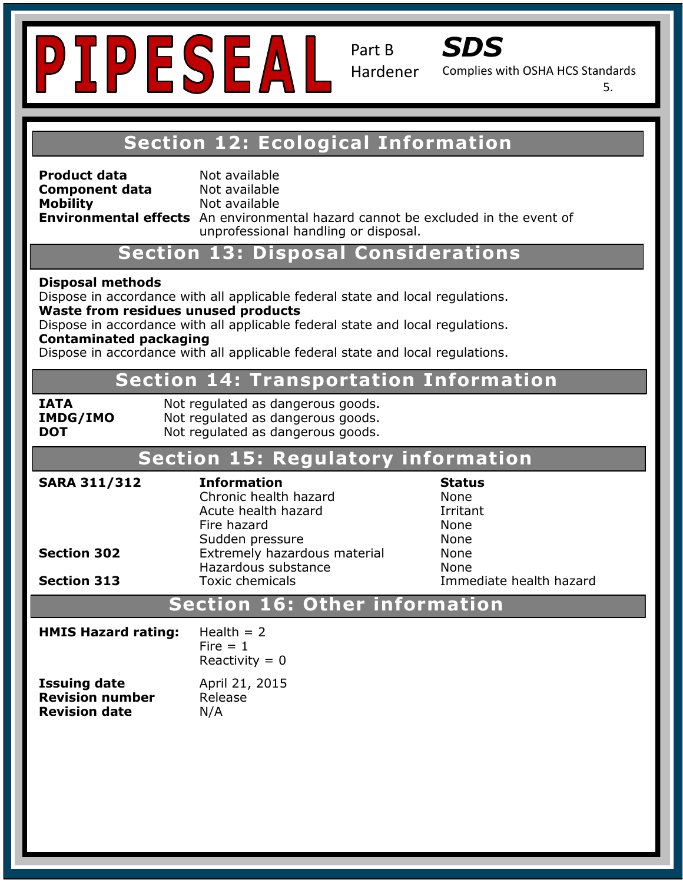



Complies with OSHA HCS Standards

5.

### **Section 12: Ecological Information**

**Product data Not available Component data** Not available

**Supponent data**<br> **Mobility** Not available **Environmental effects** An environmental hazard cannot be excluded in the event of unprofessional handling or disposal.

**Contact Section 13: Disposal Considerations** 

#### Phone: 972-692-0962 **Emergency Contact:** Same as Above **Disposal methods**

**Trade Name:** SC-4400

Dispose in accordance with all applicable federal state and local regulations.<br>Waste from residues unused products **Waste from residues unused products** 

waste from residues and sea products<br>Dispose in accordance with all applicable federal state and local regulations. **Contaminated packaging** 

Dispose in accordance with all applicable federal state and local regulations.

#### **Hazard Classification: Skin Irritant- Category 2 Section 14: Transportation Information**

| IATA |                 |
|------|-----------------|
|      | <b>IMDG/IMO</b> |
| DOT  |                 |

**IATA Rando Probot regulated as dangerous goods.** Not regulated as dangerous goods. Not regulated as dangerous goods.

### **Section 15: Regulatory information**

| <b>SARA 311/312</b>      | <b>Information</b><br>Chronic health hazard<br>Acute health hazard<br>Fire hazard<br>Sudden pressure | <b>Status</b><br><b>None</b><br>Irritant<br>None<br>None |
|--------------------------|------------------------------------------------------------------------------------------------------|----------------------------------------------------------|
| <b>Section 302</b>       | Extremely hazardous material<br>Hazardous substance                                                  | <b>None</b><br>None                                      |
| <b>Section 313</b>       | <b>Toxic chemicals</b>                                                                               | Immediate health hazard                                  |
| r information<br>Caatian |                                                                                                      |                                                          |

### **<u>Section 16: Other information</u>**

| <b>HMIS Hazard rating:</b> | Health $= 2$<br>Fire $= 1$<br>Reactivity = $0$ |
|----------------------------|------------------------------------------------|
| <b>Issuing date</b>        | April 21, 2015                                 |
| <b>Revision number</b>     | Release                                        |
| <b>Revision date</b>       | N/A                                            |